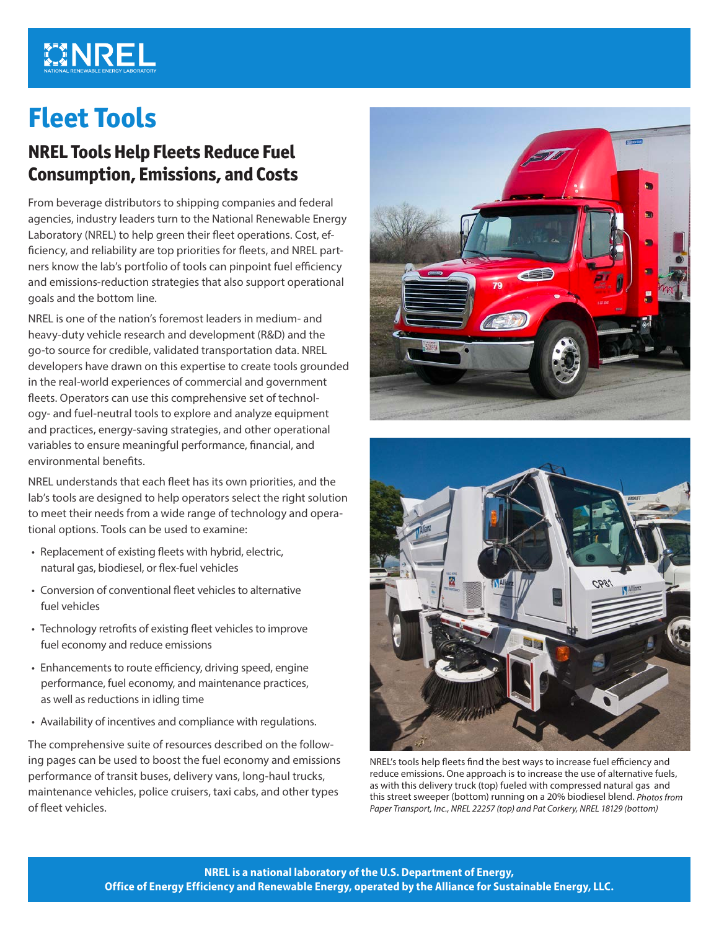# **MINREL**

# **Fleet Tools**

# **NREL Tools Help Fleets Reduce Fuel Consumption, Emissions, and Costs**

From beverage distributors to shipping companies and federal agencies, industry leaders turn to the National Renewable Energy Laboratory (NREL) to help green their fleet operations. Cost, efficiency, and reliability are top priorities for fleets, and NREL partners know the lab's portfolio of tools can pinpoint fuel efficiency and emissions-reduction strategies that also support operational goals and the bottom line.

NREL is one of the nation's foremost leaders in medium- and heavy-duty vehicle research and development (R&D) and the go-to source for credible, validated transportation data. NREL developers have drawn on this expertise to create tools grounded in the real-world experiences of commercial and government fleets. Operators can use this comprehensive set of technology- and fuel-neutral tools to explore and analyze equipment and practices, energy-saving strategies, and other operational variables to ensure meaningful performance, financial, and environmental benefits.

NREL understands that each fleet has its own priorities, and the lab's tools are designed to help operators select the right solution to meet their needs from a wide range of technology and operational options. Tools can be used to examine:

- Replacement of existing fleets with hybrid, electric, natural gas, biodiesel, or flex-fuel vehicles
- Conversion of conventional fleet vehicles to alternative fuel vehicles
- Technology retrofits of existing fleet vehicles to improve fuel economy and reduce emissions
- Enhancements to route efficiency, driving speed, engine performance, fuel economy, and maintenance practices, as well as reductions in idling time
- Availability of incentives and compliance with regulations.

The comprehensive suite of resources described on the following pages can be used to boost the fuel economy and emissions performance of transit buses, delivery vans, long-haul trucks, maintenance vehicles, police cruisers, taxi cabs, and other types of fleet vehicles.





NREL's tools help fleets find the best ways to increase fuel efficiency and reduce emissions. One approach is to increase the use of alternative fuels, as with this delivery truck (top) fueled with compressed natural gas and this street sweeper (bottom) running on a 20% biodiesel blend. *Photos from Paper Transport, Inc., NREL 22257 (top) and Pat Corkery, NREL 18129 (bottom)*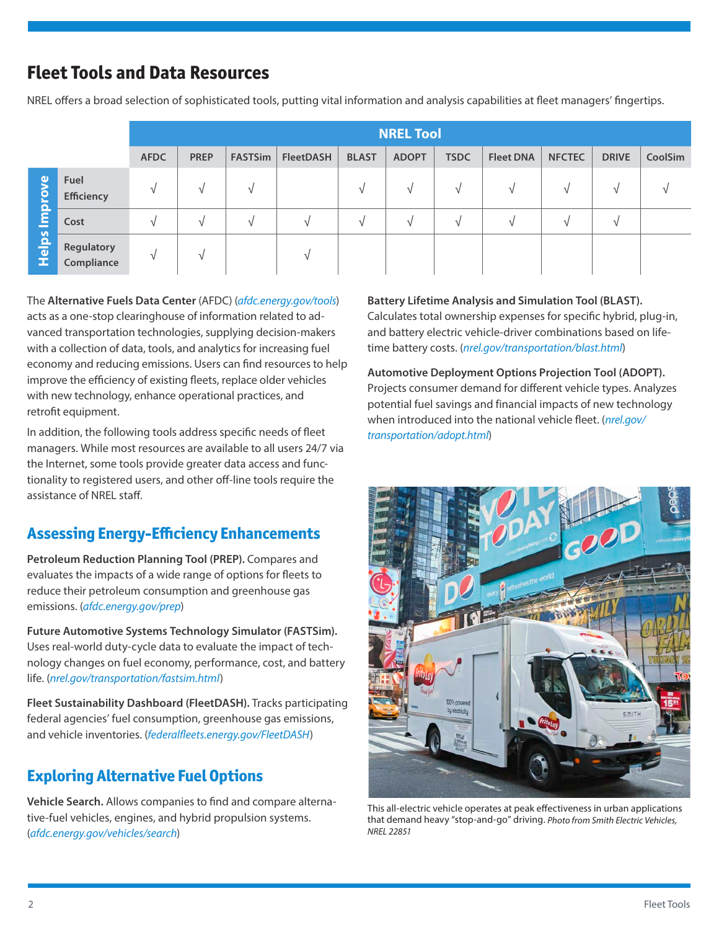# **Fleet Tools and Data Resources**

NREL offers a broad selection of sophisticated tools, putting vital information and analysis capabilities at fleet managers' fingertips.

|                                |                           | <b>NREL Tool</b> |             |                |                  |              |              |             |                  |               |               |         |
|--------------------------------|---------------------------|------------------|-------------|----------------|------------------|--------------|--------------|-------------|------------------|---------------|---------------|---------|
|                                |                           | <b>AFDC</b>      | <b>PREP</b> | <b>FASTSim</b> | <b>FleetDASH</b> | <b>BLAST</b> | <b>ADOPT</b> | <b>TSDC</b> | <b>Fleet DNA</b> | <b>NFCTEC</b> | <b>DRIVE</b>  | CoolSim |
| prove<br>$\mathbf{E}$<br>Helps | Fuel<br><b>Efficiency</b> | $\mathbf{A}$     |             | V              |                  |              | V            |             |                  | V             | V             |         |
|                                | Cost                      | $\sim$           | N           | $\sqrt{ }$     | V                | N            | $\sqrt{ }$   | $\sqrt{ }$  | N                | V             | $\mathcal{V}$ |         |
|                                | Regulatory<br>Compliance  | $\Delta$         |             |                | $\mathcal{U}$    |              |              |             |                  |               |               |         |

The **Alternative Fuels Data Center** (AFDC) (*[afdc.energy.gov/tools](http://afdc.energy.gov/tools)*) acts as a one-stop clearinghouse of information related to advanced transportation technologies, supplying decision-makers with a collection of data, tools, and analytics for increasing fuel economy and reducing emissions. Users can find resources to help improve the efficiency of existing fleets, replace older vehicles with new technology, enhance operational practices, and retrofit equipment.

In addition, the following tools address specific needs of fleet managers. While most resources are available to all users 24/7 via the Internet, some tools provide greater data access and functionality to registered users, and other off-line tools require the assistance of NREL staff.

## **Assessing Energy-Efficiency Enhancements**

**Petroleum Reduction Planning Tool (PREP).** Compares and evaluates the impacts of a wide range of options for fleets to reduce their petroleum consumption and greenhouse gas emissions. (*[afdc.energy.gov/prep](http://afdc.energy.gov/prep)*)

**Future Automotive Systems Technology Simulator (FASTSim).**  Uses real-world duty-cycle data to evaluate the impact of technology changes on fuel economy, performance, cost, and battery life. (*[nrel.gov/transportation/fastsim.html](http://www.nrel.gov/transportation/fastsim.html)*)

**Fleet Sustainability Dashboard (FleetDASH).** Tracks participating federal agencies' fuel consumption, greenhouse gas emissions, and vehicle inventories. (*[federalfleets.energy.gov/FleetDASH](http://federalfleets.energy.gov/FleetDASH)*)

## **Exploring Alternative Fuel Options**

**Vehicle Search.** Allows companies to find and compare alternative-fuel vehicles, engines, and hybrid propulsion systems. (*[afdc.energy.gov/vehicles/search](http://www.afdc.energy.gov/vehicles/search)*)

#### **Battery Lifetime Analysis and Simulation Tool (BLAST).**

Calculates total ownership expenses for specific hybrid, plug-in, and battery electric vehicle-driver combinations based on lifetime battery costs. ([nrel.gov/transportation/blast.html](https://www.nrel.gov/transportation/blast.html))

**[Automoti](https://www.nrel.gov/transportation/blast.html)ve Deployment Options Projection Tool (ADOPT).** Projects consumer demand for different vehicle types. Analyzes potential fuel savings and financial impacts of new technology when introduced into the national vehicle fleet. (nrel.gov/ transportation/adopt.html)



This all-electric vehicle operates at peak effectiveness in urban applications that demand heavy "stop-and-go" driving. *Photo from Smith Electric Vehicles, NREL 22851*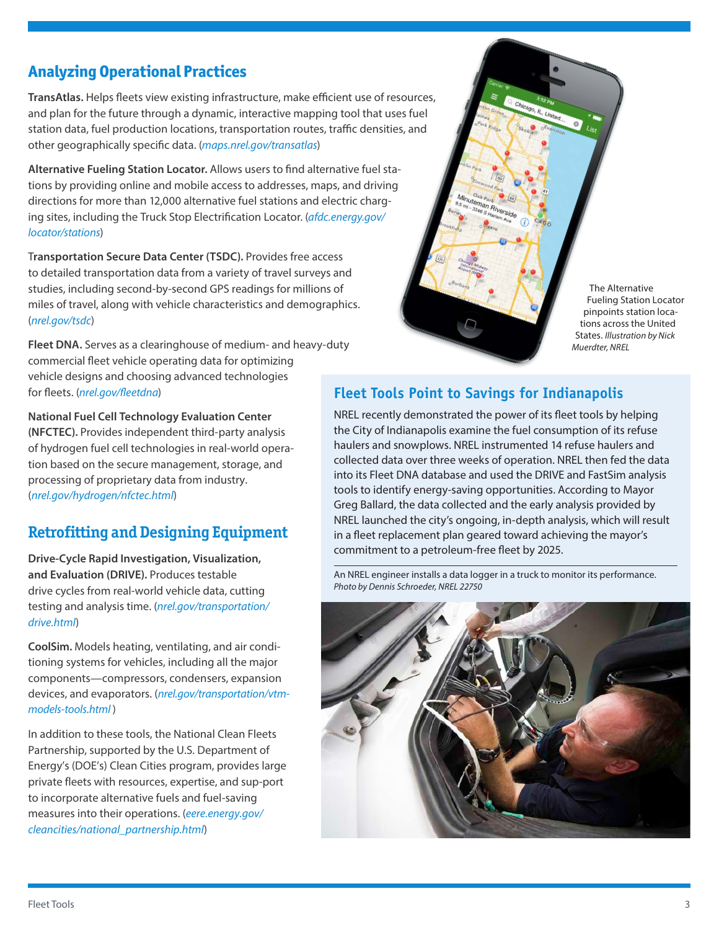### **Analyzing Operational Practices**

**TransAtlas.** Helps fleets view existing infrastructure, make efficient use of resources, and plan for the future through a dynamic, interactive mapping tool that uses fuel station data, fuel production locations, transportation routes, traffic densities, and other geographically specific data. (*[maps.nrel.gov/transatlas](http://maps.nrel.gov/transatlas)*)

**Alternative Fueling Station Locator.** Allows users to find alternative fuel stations by providing online and mobile access to addresses, maps, and driving directions for more than 12,000 alternative fuel stations and electric charging sites, including the Truck Stop Electrification Locator. (*[afdc.energy.gov/](http://afdc.energy.gov/locator/stations) [locator/stations](http://afdc.energy.gov/locator/stations)*)

T**ransportation Secure Data Center (TSDC).** Provides free access to detailed transportation data from a variety of travel surveys and studies, including second-by-second GPS readings for millions of miles of travel, along with vehicle characteristics and demographics. (*[nrel.gov/tsdc](http://www.nrel.gov/tsdc)*)

**Fleet DNA.** Serves as a clearinghouse of medium- and heavy-duty commercial fleet vehicle operating data for optimizing vehicle designs and choosing advanced technologies

**National Fuel Cell Technology Evaluation Center (NFCTEC).** Provides independent third-party analysis of hydrogen fuel cell technologies in real-world operation based on the secure management, storage, and processing of proprietary data from industry. ([nrel.gov/hydrogen/nfctec.html](https://www.nrel.gov/hydrogen/nfctec.html))

## **Retrofitting and Designing Equipment**

**Drive-Cycle Rapid Investigation, Visualization, and Evaluation (DRIVE).** Produces testable drive cycles from real-world vehicle data, cutting testing and analysis time. (*[nrel.gov/transportation/](http://www.nrel.gov/transportation/drive.html) [drive.html](http://www.nrel.gov/transportation/drive.html)*)

**CoolSim.** Models heating, ventilating, and air conditioning systems for vehicles, including all the major components—compressors, condensers, expansion devices, and evaporators. ([nrel.gov/transportation/vtm](https://www.nrel.gov/transportation/vtm-models-tools.html)[models-tools.html](https://www.nrel.gov/transportation/vtm-models-tools.html) )

In addition to these tools, the National Clean Fleets Partnership, supported by the U.S. Department of Energy's (DOE's) Clean Cities program, provides large private fleets with resources, expertise, and sup-port to incorporate alternative fuels and fuel-saving measures into their operations. (*[eere.energy.gov/](http://www.eere.energy.gov/cleancities/national_partnership.html) [cleancities/national\\_partnership.html](http://www.eere.energy.gov/cleancities/national_partnership.html)*)

### for fleets. (*[nrel.gov/fleetdna](http://www.nrel.gov/fleetdna)*) **Fleet Tools Point to Savings for Indianapolis**

NREL recently demonstrated the power of its fleet tools by helping the City of Indianapolis examine the fuel consumption of its refuse haulers and snowplows. NREL instrumented 14 refuse haulers and collected data over three weeks of operation. NREL then fed the data into its Fleet DNA database and used the DRIVE and FastSim analysis tools to identify energy-saving opportunities. According to Mayor Greg Ballard, the data collected and the early analysis provided by NREL launched the city's ongoing, in-depth analysis, which will result in a fleet replacement plan geared toward achieving the mayor's commitment to a petroleum-free fleet by 2025.

The Alternative Fueling Station Locator pinpoints station locations across the United States. *Illustration by Nick* 

*Muerdter, NREL*

An NREL engineer installs a data logger in a truck to monitor its performance. *Photo by Dennis Schroeder, NREL 22750*